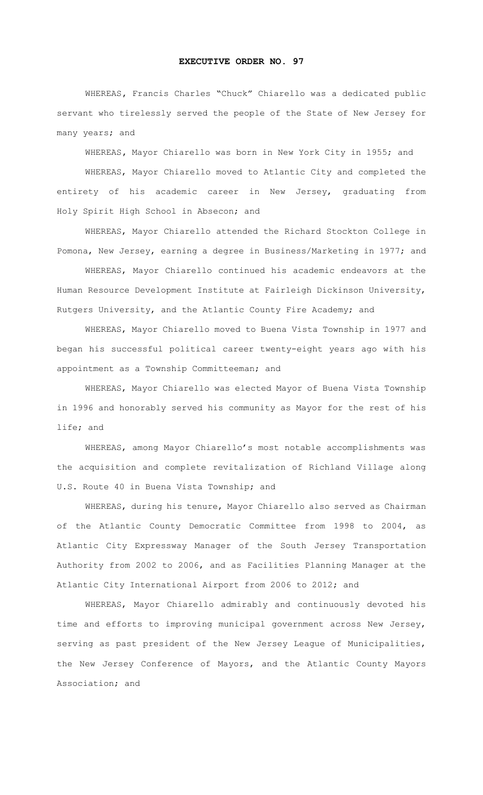## **EXECUTIVE ORDER NO. 97**

WHEREAS**,** Francis Charles "Chuck" Chiarello was a dedicated public servant who tirelessly served the people of the State of New Jersey for many years; and

WHEREAS**,** Mayor Chiarello was born in New York City in 1955; and

WHEREAS, Mayor Chiarello moved to Atlantic City and completed the entirety of his academic career in New Jersey, graduating from Holy Spirit High School in Absecon; and

WHEREAS, Mayor Chiarello attended the Richard Stockton College in Pomona, New Jersey, earning a degree in Business/Marketing in 1977; and

WHEREAS, Mayor Chiarello continued his academic endeavors at the Human Resource Development Institute at Fairleigh Dickinson University, Rutgers University, and the Atlantic County Fire Academy; and

WHEREAS, Mayor Chiarello moved to Buena Vista Township in 1977 and began his successful political career twenty-eight years ago with his appointment as a Township Committeeman; and

WHEREAS, Mayor Chiarello was elected Mayor of Buena Vista Township in 1996 and honorably served his community as Mayor for the rest of his life; and

WHEREAS, among Mayor Chiarello's most notable accomplishments was the acquisition and complete revitalization of Richland Village along U.S. Route 40 in Buena Vista Township; and

WHEREAS, during his tenure, Mayor Chiarello also served as Chairman of the Atlantic County Democratic Committee from 1998 to 2004, as Atlantic City Expressway Manager of the South Jersey Transportation Authority from 2002 to 2006, and as Facilities Planning Manager at the Atlantic City International Airport from 2006 to 2012; and

WHEREAS, Mayor Chiarello admirably and continuously devoted his time and efforts to improving municipal government across New Jersey, serving as past president of the New Jersey League of Municipalities, the New Jersey Conference of Mayors, and the Atlantic County Mayors Association; and